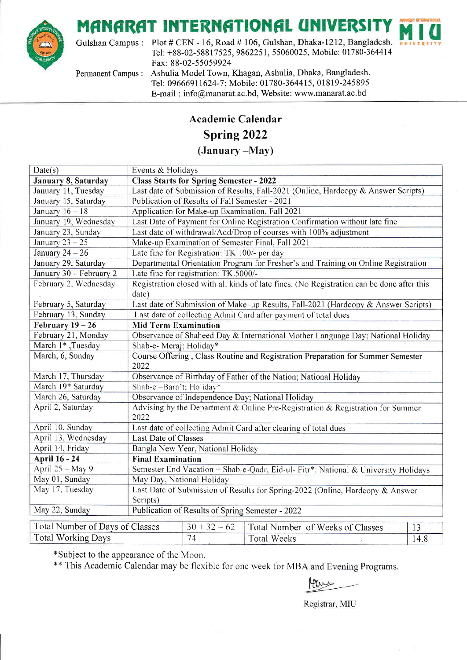# MANARAT INTERNATIONAL UNIVERSIT



Gulshan Campus : Plot # CEN - 16, Road # 106, Gulshan, Dhaka-1212, Bangladesh. Tel: +88-02 -58817 525, 9862251, 55060025, Mobile: 017 80-364414 Fax: 88-02-55059924

Permanent Campus : Ashulia Model Town, Khagan, Ashulia, Dhaka, Bangladesh. Tel: 096669 11624-7 ; Mobile: 01780-364415, 01 819-245895 E-mail: info@manarat.ac.bd, Website: www.manarat.ac.bd

#### Academic Calendar

#### Spring 2022

(January -May)

| Date(s)                         | Events & Holidays                                                                         |                                                                  |                                  |      |  |  |
|---------------------------------|-------------------------------------------------------------------------------------------|------------------------------------------------------------------|----------------------------------|------|--|--|
| January 8, Saturday             | <b>Class Starts for Spring Semester - 2022</b>                                            |                                                                  |                                  |      |  |  |
| January 11, Tuesday             | Last date of Submission of Results, Fall-2021 (Online, Hardcopy & Answer Scripts)         |                                                                  |                                  |      |  |  |
| January 15, Saturday            | Publication of Results of Fall Semester - 2021                                            |                                                                  |                                  |      |  |  |
| January $16 - 18$               | Application for Make-up Examination, Fall 2021                                            |                                                                  |                                  |      |  |  |
| January 19, Wednesday           | Last Date of Payment for Online Registration Confirmation without late fine               |                                                                  |                                  |      |  |  |
| January 23, Sunday              |                                                                                           | Last date of withdrawal/Add/Drop of courses with 100% adjustment |                                  |      |  |  |
| January $23 - 25$               |                                                                                           | Make-up Examination of Semester Final, Fall 2021                 |                                  |      |  |  |
| January $24 - 26$               |                                                                                           | Late fine for Registration: TK 100/- per day                     |                                  |      |  |  |
| January 29, Saturday            | Departmental Orientation Program for Fresher's and Training on Online Registration        |                                                                  |                                  |      |  |  |
| January 30 - February 2         | Late fine for registration: TK.5000/-                                                     |                                                                  |                                  |      |  |  |
| February 2, Wednesday           | Registration closed with all kinds of late fines. (No Registration can be done after this |                                                                  |                                  |      |  |  |
|                                 | date)                                                                                     |                                                                  |                                  |      |  |  |
| February 5, Saturday            | Last date of Submission of Make-up Results, Fall-2021 (Hardcopy & Answer Scripts)         |                                                                  |                                  |      |  |  |
| February 13, Sunday             | Last date of collecting Admit Card after payment of total dues                            |                                                                  |                                  |      |  |  |
| February $19-26$                | <b>Mid Term Examination</b>                                                               |                                                                  |                                  |      |  |  |
| February 21, Monday             | Observance of Shaheed Day & International Mother Language Day; National Holiday           |                                                                  |                                  |      |  |  |
| March 1*, Tuesday               | Shab-e- Meraj; Holiday*                                                                   |                                                                  |                                  |      |  |  |
| March, 6, Sunday                | Course Offering, Class Routine and Registration Preparation for Summer Semester<br>2022   |                                                                  |                                  |      |  |  |
| March 17, Thursday              | Observance of Birthday of Father of the Nation; National Holiday                          |                                                                  |                                  |      |  |  |
| March 19* Saturday              | Shab-e-Bara't; Holiday*                                                                   |                                                                  |                                  |      |  |  |
| March 26, Saturday              | Observance of Independence Day; National Holiday                                          |                                                                  |                                  |      |  |  |
| April 2, Saturday               | Advising by the Department & Online Pre-Registration & Registration for Summer<br>2022    |                                                                  |                                  |      |  |  |
| April 10, Sunday                | Last date of collecting Admit Card after clearing of total dues                           |                                                                  |                                  |      |  |  |
| April 13, Wednesday             | Last Date of Classes                                                                      |                                                                  |                                  |      |  |  |
| April 14, Friday                | Bangla New Year, National Holiday                                                         |                                                                  |                                  |      |  |  |
| <b>April 16 - 24</b>            | <b>Final Examination</b>                                                                  |                                                                  |                                  |      |  |  |
| April $25 - May 9$              | Semester End Vacation + Shab-e-Qadr, Eid-ul- Fitr*: National & University Holidays        |                                                                  |                                  |      |  |  |
| May 01, Sunday                  | May Day, National Holiday                                                                 |                                                                  |                                  |      |  |  |
| May 17, Tuesday                 | Last Date of Submission of Results for Spring-2022 (Online, Hardcopy & Answer             |                                                                  |                                  |      |  |  |
|                                 | Scripts)                                                                                  |                                                                  |                                  |      |  |  |
| May 22, Sunday                  | Publication of Results of Spring Semester - 2022                                          |                                                                  |                                  |      |  |  |
|                                 |                                                                                           | $30 + 32 = 62$                                                   |                                  |      |  |  |
| Total Number of Days of Classes |                                                                                           |                                                                  | Total Number of Weeks of Classes | 13   |  |  |
| <b>Total Working Days</b>       |                                                                                           | 74                                                               | <b>Total Weeks</b>               | 14.8 |  |  |

\*Subject to the appearance of the Moon.

\*\* This Academic Calendar may be flexible for one week for MBA and Evening Programs.

Registrar, MIU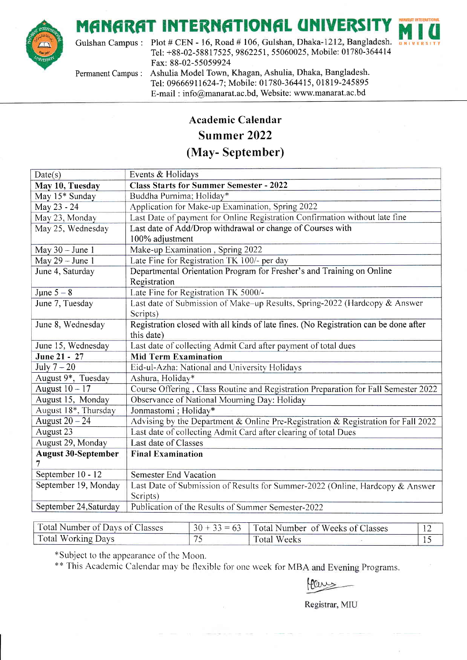### **MANARAT INTERNATIONAL UNIVERSIT**



Gulshan Campus : Plot # CEN - 16, Road # 106, Gulshan, Dhaka-1212, Bangladesh. Tel: +88-02 -58817 525, 9862251, 55060025, Mobile: 01780-364414 Fax: 88-02-55059924

Permanent Campus : Ashulia Model Town, Khagan, Ashulia, Dhaka, Bangladesh. Tel: 09666911624-7; Mobile: 01780-364415, 01819-245895 E-mail : info@manarat.ac.bd, Website: www.manarat.ac.bd

#### Academic Calendar

#### Summer 2022

#### (May- September)

| Date(s)                    | Events & Holidays                                                                    |  |  |  |  |
|----------------------------|--------------------------------------------------------------------------------------|--|--|--|--|
| May 10, Tuesday            | <b>Class Starts for Summer Semester - 2022</b>                                       |  |  |  |  |
| May 15* Sunday             | Buddha Purnima; Holiday*                                                             |  |  |  |  |
| May 23 - 24                | Application for Make-up Examination, Spring 2022                                     |  |  |  |  |
| May 23, Monday             | Last Date of payment for Online Registration Confirmation without late fine          |  |  |  |  |
| May 25, Wednesday          | Last date of Add/Drop withdrawal or change of Courses with                           |  |  |  |  |
|                            | 100% adjustment                                                                      |  |  |  |  |
| May $30 -$ June 1          | Make-up Examination, Spring 2022                                                     |  |  |  |  |
| May $29 - June 1$          | Late Fine for Registration TK 100/- per day                                          |  |  |  |  |
| June 4, Saturday           | Departmental Orientation Program for Fresher's and Training on Online                |  |  |  |  |
|                            | Registration                                                                         |  |  |  |  |
| June $5 - 8$               | Late Fine for Registration TK 5000/-                                                 |  |  |  |  |
| June 7, Tuesday            | Last date of Submission of Make–up Results, Spring-2022 (Hardcopy & Answer           |  |  |  |  |
|                            | Scripts)                                                                             |  |  |  |  |
| June 8, Wednesday          | Registration closed with all kinds of late fines. (No Registration can be done after |  |  |  |  |
|                            | this date)                                                                           |  |  |  |  |
| June 15, Wednesday         | Last date of collecting Admit Card after payment of total dues                       |  |  |  |  |
| June 21 - 27               | <b>Mid Term Examination</b>                                                          |  |  |  |  |
| July $7-20$                | Eid-ul-Azha: National and University Holidays                                        |  |  |  |  |
| August 9*, Tuesday         | Ashura, Holiday*                                                                     |  |  |  |  |
| August $10 - 17$           | Course Offering, Class Routine and Registration Preparation for Fall Semester 2022   |  |  |  |  |
| August 15, Monday          | Observance of National Mourning Day: Holiday                                         |  |  |  |  |
| August 18*, Thursday       | Jonmastomi; Holiday*                                                                 |  |  |  |  |
| August $20 - 24$           | Advising by the Department & Online Pre-Registration & Registration for Fall 2022    |  |  |  |  |
| August 23                  | Last date of collecting Admit Card after clearing of total Dues                      |  |  |  |  |
| August 29, Monday          | Last date of Classes                                                                 |  |  |  |  |
| <b>August 30-September</b> | <b>Final Examination</b>                                                             |  |  |  |  |
|                            |                                                                                      |  |  |  |  |
| September 10 - 12          | Semester End Vacation                                                                |  |  |  |  |
| September 19, Monday       | Last Date of Submission of Results for Summer-2022 (Online, Hardcopy & Answer        |  |  |  |  |
|                            | Scripts)                                                                             |  |  |  |  |
| September 24, Saturday     | Publication of the Results of Summer Semester-2022                                   |  |  |  |  |

| Total Number of Days of Classes | $+33 = 63$ Total Number of Weeks of Classes |  |
|---------------------------------|---------------------------------------------|--|
| Total Working Days              | <b>Total Weeks</b>                          |  |

\*Subject to the appearance of the Moon.

\*\* This Academic Calendar may be flexible for one week for MBA and Evening Programs.

Registrar, MIU